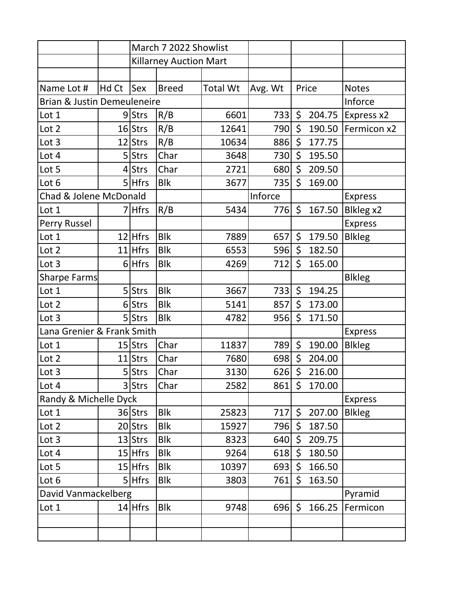|                                        |       | March 7 2022 Showlist         |              |                 |         |         |        |                |
|----------------------------------------|-------|-------------------------------|--------------|-----------------|---------|---------|--------|----------------|
|                                        |       | <b>Killarney Auction Mart</b> |              |                 |         |         |        |                |
|                                        |       |                               |              |                 |         |         |        |                |
| Name Lot #                             | Hd Ct | Sex                           | <b>Breed</b> | <b>Total Wt</b> | Avg. Wt |         | Price  | <b>Notes</b>   |
| <b>Brian &amp; Justin Demeuleneire</b> |       |                               |              |                 |         |         |        | Inforce        |
| Lot 1                                  |       | 9Strs                         | R/B          | 6601            | 733     | $\zeta$ | 204.75 | Express x2     |
| Lot 2                                  |       | $16$ Strs                     | R/B          | 12641           | 790     | \$      | 190.50 | Fermicon x2    |
| Lot 3                                  |       | 12 Strs                       | R/B          | 10634           | 886     | \$      | 177.75 |                |
| Lot 4                                  |       | 5 Strs                        | Char         | 3648            | 730     | \$      | 195.50 |                |
| Lot 5                                  | 4     | Strs                          | Char         | 2721            | 680     | \$      | 209.50 |                |
| Lot 6                                  |       | $5$ Hfrs                      | <b>Blk</b>   | 3677            | 735     | \$      | 169.00 |                |
| Chad & Jolene McDonald                 |       |                               |              |                 | Inforce |         |        | <b>Express</b> |
| Lot 1                                  |       | 7 Hfrs                        | R/B          | 5434            | 776     | $\zeta$ | 167.50 | Blkleg x2      |
| Perry Russel                           |       |                               |              |                 |         |         |        | <b>Express</b> |
| Lot 1                                  |       | $12$ Hfrs                     | <b>Blk</b>   | 7889            | 657     | \$      | 179.50 | <b>Blkleg</b>  |
| Lot 2                                  |       | $11$ Hfrs                     | <b>Blk</b>   | 6553            | 596     | \$      | 182.50 |                |
| Lot 3                                  |       | $6$ Hfrs                      | <b>Blk</b>   | 4269            | 712     | \$      | 165.00 |                |
| <b>Sharpe Farms</b>                    |       |                               |              |                 |         |         |        | <b>Blkleg</b>  |
| Lot 1                                  |       | 5 Strs                        | <b>Blk</b>   | 3667            | 733     | \$      | 194.25 |                |
| Lot 2                                  |       | 6 Strs                        | <b>Blk</b>   | 5141            | 857     | \$      | 173.00 |                |
| Lot 3                                  |       | 5 Strs                        | <b>Blk</b>   | 4782            | 956     | \$      | 171.50 |                |
| Lana Grenier & Frank Smith             |       |                               |              |                 |         |         |        | <b>Express</b> |
| Lot 1                                  |       | $15$ Strs                     | Char         | 11837           | 789     | \$      | 190.00 | <b>Blkleg</b>  |
| Lot 2                                  |       | 11 Strs                       | Char         | 7680            | 698     | \$      | 204.00 |                |
| Lot 3                                  |       | 5 Strs                        | Char         | 3130            | 626     | $\zeta$ | 216.00 |                |
| Lot 4                                  |       | 3 Strs                        | Char         | 2582            | 861     | \$      | 170.00 |                |
| Randy & Michelle Dyck                  |       |                               |              |                 |         |         |        | <b>Express</b> |
| Lot 1                                  |       | 36 Strs                       | <b>Blk</b>   | 25823           | 717     | \$      | 207.00 | <b>Blkleg</b>  |
| Lot 2                                  |       | 20 Strs                       | <b>Blk</b>   | 15927           | 796     | \$      | 187.50 |                |
| Lot 3                                  |       | 13 Strs                       | <b>Blk</b>   | 8323            | 640     | \$      | 209.75 |                |
| Lot 4                                  |       | $15$ Hfrs                     | <b>Blk</b>   | 9264            | 618     | \$      | 180.50 |                |
| Lot 5                                  |       | $15$ Hfrs                     | <b>Blk</b>   | 10397           | 693     | \$      | 166.50 |                |
| Lot 6                                  |       | $5$ Hfrs                      | <b>Blk</b>   | 3803            | 761     | \$      | 163.50 |                |
| David Vanmackelberg                    |       |                               |              |                 |         |         |        | Pyramid        |
| Lot 1                                  |       | $14$ Hfrs                     | <b>Blk</b>   | 9748            | 696     | \$      | 166.25 | Fermicon       |
|                                        |       |                               |              |                 |         |         |        |                |
|                                        |       |                               |              |                 |         |         |        |                |